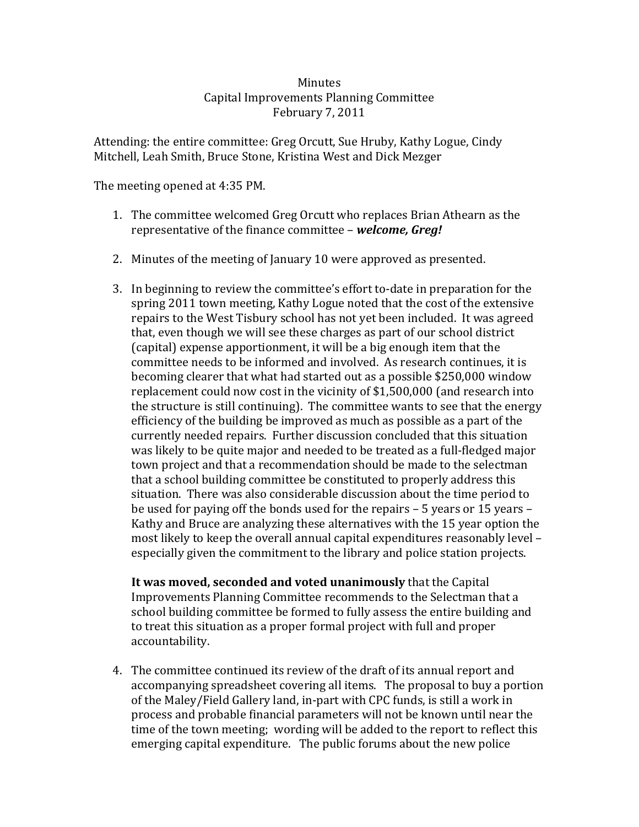## **Minutes** Capital Improvements Planning Committee February 7, 2011

Attending: the entire committee: Greg Orcutt, Sue Hruby, Kathy Logue, Cindy Mitchell, Leah Smith, Bruce Stone, Kristina West and Dick Mezger

The meeting opened at 4:35 PM.

- 1. The committee welcomed Greg Orcutt who replaces Brian Athearn as the representative of the finance committee – *welcome, Greg!*
- 2. Minutes of the meeting of January 10 were approved as presented.
- 3. In beginning to review the committee's effort to‐date in preparation for the spring 2011 town meeting, Kathy Logue noted that the cost of the extensive repairs to the West Tisbury school has not yet been included. It was agreed that, even though we will see these charges as part of our school district (capital) expense apportionment, it will be a big enough item that the committee needs to be informed and involved. As research continues, it is becoming clearer that what had started out as a possible \$250,000 window replacement could now cost in the vicinity of \$1,500,000 (and research into the structure is still continuing). The committee wants to see that the energy efficiency of the building be improved as much as possible as a part of the currently needed repairs. Further discussion concluded that this situation was likely to be quite major and needed to be treated as a full‐fledged major town project and that a recommendation should be made to the selectman that a school building committee be constituted to properly address this situation. There was also considerable discussion about the time period to be used for paying off the bonds used for the repairs – 5 years or 15 years – Kathy and Bruce are analyzing these alternatives with the 15 year option the most likely to keep the overall annual capital expenditures reasonably level – especially given the commitment to the library and police station projects.

**It was moved, seconded and voted unanimously** that the Capital Improvements Planning Committee recommends to the Selectman that a school building committee be formed to fully assess the entire building and to treat this situation as a proper formal project with full and proper accountability.

4. The committee continued its review of the draft of its annual report and accompanying spreadsheet covering all items. The proposal to buy a portion of the Maley/Field Gallery land, in‐part with CPC funds, is still a work in process and probable financial parameters will not be known until near the time of the town meeting; wording will be added to the report to reflect this emerging capital expenditure. The public forums about the new police